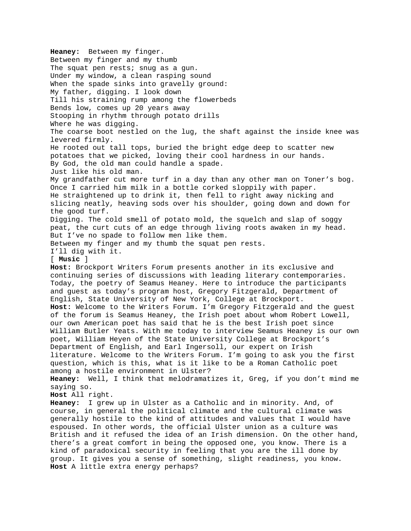**Heaney:** Between my finger. Between my finger and my thumb The squat pen rests; snug as a gun. Under my window, a clean rasping sound When the spade sinks into gravelly ground: My father, digging. I look down Till his straining rump among the flowerbeds Bends low, comes up 20 years away Stooping in rhythm through potato drills Where he was digging. The coarse boot nestled on the lug, the shaft against the inside knee was levered firmly. He rooted out tall tops, buried the bright edge deep to scatter new potatoes that we picked, loving their cool hardness in our hands. By God, the old man could handle a spade. Just like his old man. My grandfather cut more turf in a day than any other man on Toner's bog. Once I carried him milk in a bottle corked sloppily with paper. He straightened up to drink it, then fell to right away nicking and slicing neatly, heaving sods over his shoulder, going down and down for the good turf. Digging. The cold smell of potato mold, the squelch and slap of soggy peat, the curt cuts of an edge through living roots awaken in my head. But I've no spade to follow men like them. Between my finger and my thumb the squat pen rests. I'll dig with it. [ **Music** ] **Host:** Brockport Writers Forum presents another in its exclusive and continuing series of discussions with leading literary contemporaries. Today, the poetry of Seamus Heaney. Here to introduce the participants and guest as today's program host, Gregory Fitzgerald, Department of English, State University of New York, College at Brockport. **Host:** Welcome to the Writers Forum. I'm Gregory Fitzgerald and the guest of the forum is Seamus Heaney, the Irish poet about whom Robert Lowell, our own American poet has said that he is the best Irish poet since William Butler Yeats. With me today to interview Seamus Heaney is our own poet, William Heyen of the State University College at Brockport's Department of English, and Earl Ingersoll, our expert on Irish literature. Welcome to the Writers Forum. I'm going to ask you the first question, which is this, what is it like to be a Roman Catholic poet among a hostile environment in Ulster? **Heaney:** Well, I think that melodramatizes it, Greg, if you don't mind me saying so. **Host** All right. **Heaney:** I grew up in Ulster as a Catholic and in minority. And, of course, in general the political climate and the cultural climate was generally hostile to the kind of attitudes and values that I would have espoused. In other words, the official Ulster union as a culture was British and it refused the idea of an Irish dimension. On the other hand, there's a great comfort in being the opposed one, you know. There is a kind of paradoxical security in feeling that you are the ill done by group. It gives you a sense of something, slight readiness, you know. **Host** A little extra energy perhaps?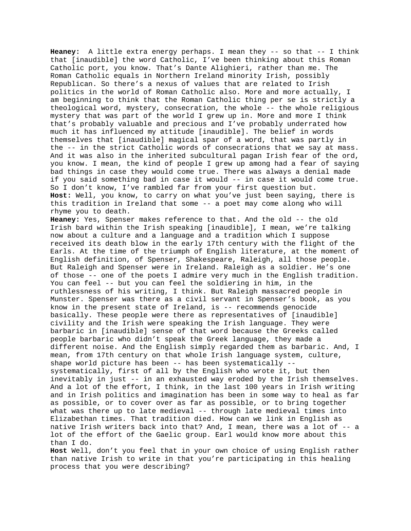**Heaney:** A little extra energy perhaps. I mean they -- so that -- I think that [inaudible] the word Catholic, I've been thinking about this Roman Catholic port, you know. That's Dante Alighieri, rather than me. The Roman Catholic equals in Northern Ireland minority Irish, possibly Republican. So there's a nexus of values that are related to Irish politics in the world of Roman Catholic also. More and more actually, I am beginning to think that the Roman Catholic thing per se is strictly a theological word, mystery, consecration, the whole -- the whole religious mystery that was part of the world I grew up in. More and more I think that's probably valuable and precious and I've probably underrated how much it has influenced my attitude [inaudible]. The belief in words themselves that [inaudible] magical spar of a word, that was partly in the -- in the strict Catholic words of consecrations that we say at mass. And it was also in the inherited subcultural pagan Irish fear of the ord, you know. I mean, the kind of people I grew up among had a fear of saying bad things in case they would come true. There was always a denial made if you said something bad in case it would -- in case it would come true. So I don't know, I've rambled far from your first question but. **Host:** Well, you know, to carry on what you've just been saying, there is this tradition in Ireland that some -- a poet may come along who will rhyme you to death.

**Heaney:** Yes, Spenser makes reference to that. And the old -- the old Irish bard within the Irish speaking [inaudible], I mean, we're talking now about a culture and a language and a tradition which I suppose received its death blow in the early 17th century with the flight of the Earls. At the time of the triumph of English literature, at the moment of English definition, of Spenser, Shakespeare, Raleigh, all those people. But Raleigh and Spenser were in Ireland. Raleigh as a soldier. He's one of those -- one of the poets I admire very much in the English tradition. You can feel -- but you can feel the soldiering in him, in the ruthlessness of his writing, I think. But Raleigh massacred people in Munster. Spenser was there as a civil servant in Spenser's book, as you know in the present state of Ireland, is -- recommends genocide basically. These people were there as representatives of [inaudible] civility and the Irish were speaking the Irish language. They were barbaric in [inaudible] sense of that word because the Greeks called people barbaric who didn't speak the Greek language, they made a different noise. And the English simply regarded them as barbaric. And, I mean, from 17th century on that whole Irish language system, culture, shape world picture has been -- has been systematically - systematically, first of all by the English who wrote it, but then inevitably in just -- in an exhausted way eroded by the Irish themselves. And a lot of the effort, I think, in the last 100 years in Irish writing and in Irish politics and imagination has been in some way to heal as far as possible, or to cover over as far as possible, or to bring together what was there up to late medieval -- through late medieval times into Elizabethan times. That tradition died. How can we link in English as native Irish writers back into that? And, I mean, there was a lot of -- a lot of the effort of the Gaelic group. Earl would know more about this than I do.

**Host** Well, don't you feel that in your own choice of using English rather than native Irish to write in that you're participating in this healing process that you were describing?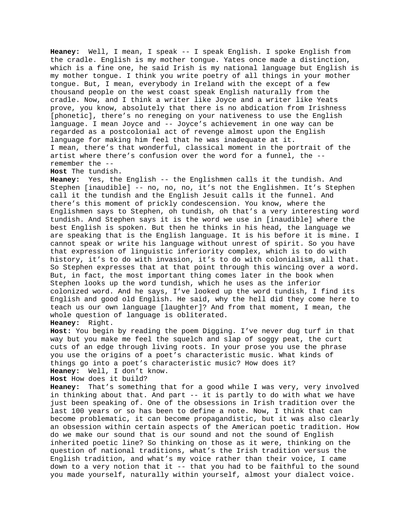**Heaney:** Well, I mean, I speak -- I speak English. I spoke English from the cradle. English is my mother tongue. Yates once made a distinction, which is a fine one, he said Irish is my national language but English is my mother tongue. I think you write poetry of all things in your mother tongue. But, I mean, everybody in Ireland with the except of a few thousand people on the west coast speak English naturally from the cradle. Now, and I think a writer like Joyce and a writer like Yeats prove, you know, absolutely that there is no abdication from Irishness [phonetic], there's no reneging on your nativeness to use the English language. I mean Joyce and -- Joyce's achievement in one way can be regarded as a postcolonial act of revenge almost upon the English language for making him feel that he was inadequate at it. I mean, there's that wonderful, classical moment in the portrait of the artist where there's confusion over the word for a funnel, the - remember the --

**Host** The tundish.

**Heaney:** Yes, the English -- the Englishmen calls it the tundish. And Stephen [inaudible] -- no, no, no, it's not the Englishmen. It's Stephen call it the tundish and the English Jesuit calls it the funnel. And there's this moment of prickly condescension. You know, where the Englishmen says to Stephen, oh tundish, oh that's a very interesting word tundish. And Stephen says it is the word we use in [inaudible] where the best English is spoken. But then he thinks in his head, the language we are speaking that is the English language. It is his before it is mine. I cannot speak or write his language without unrest of spirit. So you have that expression of linguistic inferiority complex, which is to do with history, it's to do with invasion, it's to do with colonialism, all that. So Stephen expresses that at that point through this wincing over a word. But, in fact, the most important thing comes later in the book when Stephen looks up the word tundish, which he uses as the inferior colonized word. And he says, I've looked up the word tundish, I find its English and good old English. He said, why the hell did they come here to teach us our own language [laughter]? And from that moment, I mean, the whole question of language is obliterated.

**Heaney:** Right.

**Host:** You begin by reading the poem Digging. I've never dug turf in that way but you make me feel the squelch and slap of soggy peat, the curt cuts of an edge through living roots. In your prose you use the phrase you use the origins of a poet's characteristic music. What kinds of things go into a poet's characteristic music? How does it? **Heaney:** Well, I don't know.

**Host** How does it build?

**Heaney:** That's something that for a good while I was very, very involved in thinking about that. And part -- it is partly to do with what we have just been speaking of. One of the obsessions in Irish tradition over the last 100 years or so has been to define a note. Now, I think that can become problematic, it can become propagandistic, but it was also clearly an obsession within certain aspects of the American poetic tradition. How do we make our sound that is our sound and not the sound of English inherited poetic line? So thinking on those as it were, thinking on the question of national traditions, what's the Irish tradition versus the English tradition, and what's my voice rather than their voice, I came down to a very notion that it -- that you had to be faithful to the sound you made yourself, naturally within yourself, almost your dialect voice.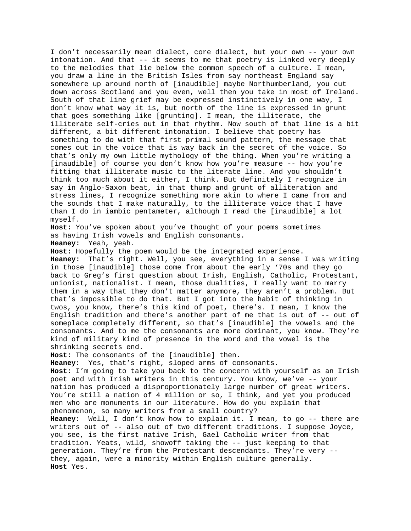I don't necessarily mean dialect, core dialect, but your own -- your own intonation. And that -- it seems to me that poetry is linked very deeply to the melodies that lie below the common speech of a culture. I mean, you draw a line in the British Isles from say northeast England say somewhere up around north of [inaudible] maybe Northumberland, you cut down across Scotland and you even, well then you take in most of Ireland. South of that line grief may be expressed instinctively in one way, I don't know what way it is, but north of the line is expressed in grunt that goes something like [grunting]. I mean, the illiterate, the illiterate self-cries out in that rhythm. Now south of that line is a bit different, a bit different intonation. I believe that poetry has something to do with that first primal sound pattern, the message that comes out in the voice that is way back in the secret of the voice. So that's only my own little mythology of the thing. When you're writing a [inaudible] of course you don't know how you're measure -- how you're fitting that illiterate music to the literate line. And you shouldn't think too much about it either, I think. But definitely I recognize in say in Anglo-Saxon beat, in that thump and grunt of alliteration and stress lines, I recognize something more akin to where I came from and the sounds that I make naturally, to the illiterate voice that I have than I do in iambic pentameter, although I read the [inaudible] a lot myself.

**Host:** You've spoken about you've thought of your poems sometimes as having Irish vowels and English consonants.

**Heaney:** Yeah, yeah.

**Host:** Hopefully the poem would be the integrated experience.

**Heaney:** That's right. Well, you see, everything in a sense I was writing in those [inaudible] those come from about the early '70s and they go back to Greg's first question about Irish, English, Catholic, Protestant, unionist, nationalist. I mean, those dualities, I really want to marry them in a way that they don't matter anymore, they aren't a problem. But that's impossible to do that. But I got into the habit of thinking in twos, you know, there's this kind of poet, there's. I mean, I know the English tradition and there's another part of me that is out of -- out of someplace completely different, so that's [inaudible] the vowels and the consonants. And to me the consonants are more dominant, you know. They're kind of military kind of presence in the word and the vowel is the shrinking secrets end.

**Host:** The consonants of the [inaudible] then.

**Heaney:** Yes, that's right, sloped arms of consonants.

**Host:** I'm going to take you back to the concern with yourself as an Irish poet and with Irish writers in this century. You know, we've -- your nation has produced a disproportionately large number of great writers. You're still a nation of 4 million or so, I think, and yet you produced men who are monuments in our literature. How do you explain that phenomenon, so many writers from a small country?

**Heaney:** Well, I don't know how to explain it. I mean, to go -- there are writers out of -- also out of two different traditions. I suppose Joyce, you see, is the first native Irish, Gael Catholic writer from that tradition. Yeats, wild, showoff taking the -- just keeping to that generation. They're from the Protestant descendants. They're very - they, again, were a minority within English culture generally. **Host** Yes.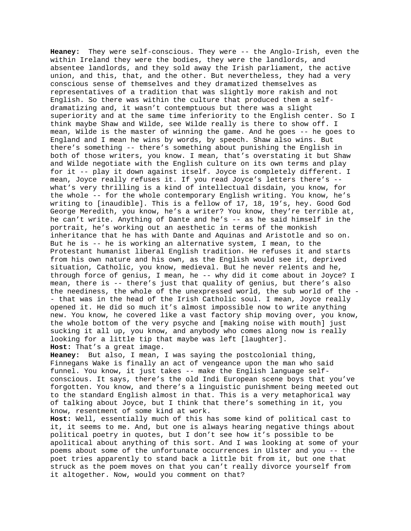**Heaney:** They were self-conscious. They were -- the Anglo-Irish, even the within Ireland they were the bodies, they were the landlords, and absentee landlords, and they sold away the Irish parliament, the active union, and this, that, and the other. But nevertheless, they had a very conscious sense of themselves and they dramatized themselves as representatives of a tradition that was slightly more rakish and not English. So there was within the culture that produced them a selfdramatizing and, it wasn't contemptuous but there was a slight superiority and at the same time inferiority to the English center. So I think maybe Shaw and Wilde, see Wilde really is there to show off. I mean, Wilde is the master of winning the game. And he goes -- he goes to England and I mean he wins by words, by speech. Shaw also wins. But there's something -- there's something about punishing the English in both of those writers, you know. I mean, that's overstating it but Shaw and Wilde negotiate with the English culture on its own terms and play for it -- play it down against itself. Joyce is completely different. I mean, Joyce really refuses it. If you read Joyce's letters there's - what's very thrilling is a kind of intellectual disdain, you know, for the whole -- for the whole contemporary English writing. You know, he's writing to [inaudible]. This is a fellow of 17, 18, 19's, hey. Good God George Meredith, you know, he's a writer? You know, they're terrible at, he can't write. Anything of Dante and he's -- as he said himself in the portrait, he's working out an aesthetic in terms of the monkish inheritance that he has with Dante and Aquinas and Aristotle and so on. But he is -- he is working an alternative system, I mean, to the Protestant humanist liberal English tradition. He refuses it and starts from his own nature and his own, as the English would see it, deprived situation, Catholic, you know, medieval. But he never relents and he, through force of genius, I mean, he -- why did it come about in Joyce? I mean, there is -- there's just that quality of genius, but there's also the neediness, the whole of the unexpressed world, the sub world of the - - that was in the head of the Irish Catholic soul. I mean, Joyce really opened it. He did so much it's almost impossible now to write anything new. You know, he covered like a vast factory ship moving over, you know, the whole bottom of the very psyche and [making noise with mouth] just sucking it all up, you know, and anybody who comes along now is really looking for a little tip that maybe was left [laughter]. **Host:** That's a great image.

**Heaney:** But also, I mean, I was saying the postcolonial thing, Finnegans Wake is finally an act of vengeance upon the man who said funnel. You know, it just takes -- make the English language selfconscious. It says, there's the old Indi European scene boys that you've forgotten. You know, and there's a linguistic punishment being meeted out to the standard English almost in that. This is a very metaphorical way of talking about Joyce, but I think that there's something in it, you know, resentment of some kind at work.

**Host:** Well, essentially much of this has some kind of political cast to it, it seems to me. And, but one is always hearing negative things about political poetry in quotes, but I don't see how it's possible to be apolitical about anything of this sort. And I was looking at some of your poems about some of the unfortunate occurrences in Ulster and you -- the poet tries apparently to stand back a little bit from it, but one that struck as the poem moves on that you can't really divorce yourself from it altogether. Now, would you comment on that?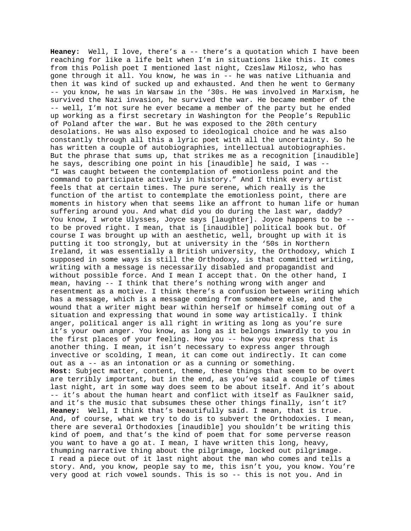**Heaney:** Well, I love, there's a -- there's a quotation which I have been reaching for like a life belt when I'm in situations like this. It comes from this Polish poet I mentioned last night, Czeslaw Milosz, who has gone through it all. You know, he was in -- he was native Lithuania and then it was kind of sucked up and exhausted. And then he went to Germany -- you know, he was in Warsaw in the '30s. He was involved in Marxism, he survived the Nazi invasion, he survived the war. He became member of the -- well, I'm not sure he ever became a member of the party but he ended up working as a first secretary in Washington for the People's Republic of Poland after the war. But he was exposed to the 20th century desolations. He was also exposed to ideological choice and he was also constantly through all this a lyric poet with all the uncertainty. So he has written a couple of autobiographies, intellectual autobiographies. But the phrase that sums up, that strikes me as a recognition [inaudible] he says, describing one point in his [inaudible] he said, I was -- "I was caught between the contemplation of emotionless point and the command to participate actively in history." And I think every artist feels that at certain times. The pure serene, which really is the function of the artist to contemplate the emotionless point, there are moments in history when that seems like an affront to human life or human suffering around you. And what did you do during the last war, daddy? You know, I wrote Ulysses, Joyce says [laughter]. Joyce happens to be - to be proved right. I mean, that is [inaudible] political book but. Of course I was brought up with an aesthetic, well, brought up with it is putting it too strongly, but at university in the '50s in Northern Ireland, it was essentially a British university, the Orthodoxy, which I supposed in some ways is still the Orthodoxy, is that committed writing, writing with a message is necessarily disabled and propagandist and without possible force. And I mean I accept that. On the other hand, I mean, having -- I think that there's nothing wrong with anger and resentment as a motive. I think there's a confusion between writing which has a message, which is a message coming from somewhere else, and the wound that a writer might bear within herself or himself coming out of a situation and expressing that wound in some way artistically. I think anger, political anger is all right in writing as long as you're sure it's your own anger. You know, as long as it belongs inwardly to you in the first places of your feeling. How you -- how you express that is another thing. I mean, it isn't necessary to express anger through invective or scolding, I mean, it can come out indirectly. It can come out as a -- as an intonation or as a cunning or something. **Host:** Subject matter, content, theme, these things that seem to be overt are terribly important, but in the end, as you've said a couple of times last night, art in some way does seem to be about itself. And it's about -- it's about the human heart and conflict with itself as Faulkner said, and it's the music that subsumes these other things finally, isn't it? **Heaney:** Well, I think that's beautifully said. I mean, that is true. And, of course, what we try to do is to subvert the Orthodoxies. I mean, there are several Orthodoxies [inaudible] you shouldn't be writing this kind of poem, and that's the kind of poem that for some perverse reason you want to have a go at. I mean, I have written this long, heavy, thumping narrative thing about the pilgrimage, locked out pilgrimage. I read a piece out of it last night about the man who comes and tells a story. And, you know, people say to me, this isn't you, you know. You're very good at rich vowel sounds. This is so -- this is not you. And in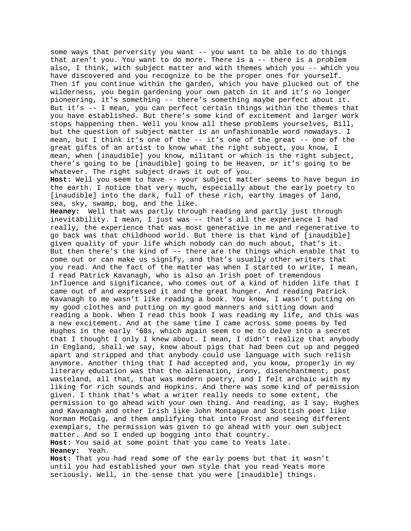some ways that perversity you want -- you want to be able to do things that aren't you. You want to do more. There is a -- there is a problem also, I think, with subject matter and with themes which you -- which you have discovered and you recognize to be the proper ones for yourself. Then if you continue within the garden, which you have plucked out of the wilderness, you begin gardening your own patch in it and it's no longer pioneering, it's something -- there's something maybe perfect about it. But it's -- I mean, you can perfect certain things within the themes that you have established. But there's some kind of excitement and larger work stops happening then. Well you know all these problems yourselves, Bill, but the question of subject matter is an unfashionable word nowadays. I mean, but I think it's one of the -- it's one of the great -- one of the great gifts of an artist to know what the right subject, you know, I mean, when [inaudible] you know, militant or which is the right subject, there's going to be [inaudible] going to be Heaven, or it's going to be whatever. The right subject draws it out of you.

**Host:** Well you seem to have -- your subject matter seems to have begun in the earth. I notice that very much, especially about the early poetry to [inaudible] into the dark, full of these rich, earthy images of land, sea, sky, swamp, bog, and the like.

**Heaney:** Well that was partly through reading and partly just through inevitability. I mean, I just was -- that's all the experience I had really, the experience that was most generative in me and regenerative to go back was that childhood world. But there is that kind of [inaudible] given quality of your life which nobody can do much about, that's it. But then there's the kind of -- there are the things which enable that to come out or can make us signify, and that's usually other writers that you read. And the fact of the matter was when I started to write, I mean, I read Patrick Kavanagh, who is also an Irish poet of tremendous influence and significance, who comes out of a kind of hidden life that I came out of and expressed it and the great hunger. And reading Patrick Kavanagh to me wasn't like reading a book. You know, I wasn't putting on my good clothes and putting on my good manners and sitting down and reading a book. When I read this book I was reading my life, and this was a new excitement. And at the same time I came across some poems by Ted Hughes in the early '60s, which again seem to me to delve into a secret that I thought I only I knew about. I mean, I didn't realize that anybody in England, shall we say, knew about pigs that had been cut up and pegged apart and stripped and that anybody could use language with such relish anymore. Another thing that I had accepted and, you know, properly in my literary education was that the alienation, irony, disenchantment, post wasteland, all that, that was modern poetry, and I felt archaic with my liking for rich sounds and Hopkins. And there was some kind of permission given. I think that's what a writer really needs to some extent, the permission to go ahead with your own thing. And reading, as I say, Hughes and Kavanagh and other Irish like John Montague and Scottish poet like Norman McCaig, and them amplifying that into Frost and seeing different exemplars, the permission was given to go ahead with your own subject matter. And so I ended up bogging into that country. **Host:** You said at some point that you came to Yeats late. **Heaney:** Yeah.

**Host:** That you had read some of the early poems but that it wasn't until you had established your own style that you read Yeats more seriously. Well, in the sense that you were [inaudible] things.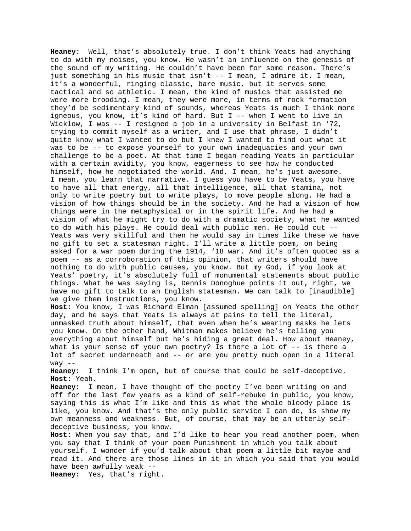**Heaney:** Well, that's absolutely true. I don't think Yeats had anything to do with my noises, you know. He wasn't an influence on the genesis of the sound of my writing. He couldn't have been for some reason. There's just something in his music that isn't -- I mean, I admire it. I mean, it's a wonderful, ringing classic, bare music, but it serves some tactical and so athletic. I mean, the kind of musics that assisted me were more brooding. I mean, they were more, in terms of rock formation they'd be sedimentary kind of sounds, whereas Yeats is much I think more igneous, you know, it's kind of hard. But I -- when I went to live in Wicklow, I was -- I resigned a job in a university in Belfast in '72, trying to commit myself as a writer, and I use that phrase, I didn't quite know what I wanted to do but I knew I wanted to find out what it was to be -- to expose yourself to your own inadequacies and your own challenge to be a poet. At that time I began reading Yeats in particular with a certain avidity, you know, eagerness to see how he conducted himself, how he negotiated the world. And, I mean, he's just awesome. I mean, you learn that narrative. I guess you have to be Yeats, you have to have all that energy, all that intelligence, all that stamina, not only to write poetry but to write plays, to move people along. He had a vision of how things should be in the society. And he had a vision of how things were in the metaphysical or in the spirit life. And he had a vision of what he might try to do with a dramatic society, what he wanted to do with his plays. He could deal with public men. He could cut -- Yeats was very skillful and then he would say in times like these we have no gift to set a statesman right. I'll write a little poem, on being asked for a war poem during the 1914, '18 war. And it's often quoted as a poem -- as a corroboration of this opinion, that writers should have nothing to do with public causes, you know. But my God, if you look at Yeats' poetry, it's absolutely full of monumental statements about public things. What he was saying is, Dennis Donoghue points it out, right, we have no gift to talk to an English statesman. We can talk to [inaudible] we give them instructions, you know. **Host:** You know, I was Richard Elman [assumed spelling] on Yeats the other day, and he says that Yeats is always at pains to tell the literal, unmasked truth about himself, that even when he's wearing masks he lets you know. On the other hand, Whitman makes believe he's telling you everything about himself but he's hiding a great deal. How about Heaney, what is your sense of your own poetry? Is there a lot of -- is there a lot of secret underneath and -- or are you pretty much open in a literal way -- **Heaney:** I think I'm open, but of course that could be self-deceptive. **Host:** Yeah. **Heaney:** I mean, I have thought of the poetry I've been writing on and

off for the last few years as a kind of self-rebuke in public, you know, saying this is what I'm like and this is what the whole bloody place is like, you know. And that's the only public service I can do, is show my own meanness and weakness. But, of course, that may be an utterly selfdeceptive business, you know.

**Host:** When you say that, and I'd like to hear you read another poem, when you say that I think of your poem Punishment in which you talk about yourself. I wonder if you'd talk about that poem a little bit maybe and read it. And there are those lines in it in which you said that you would have been awfully weak --

**Heaney:** Yes, that's right.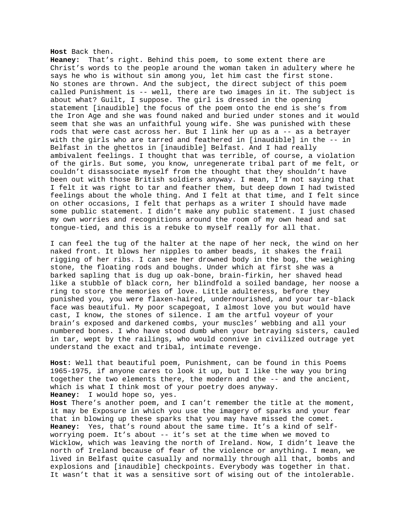## **Host** Back then.

**Heaney:** That's right. Behind this poem, to some extent there are Christ's words to the people around the woman taken in adultery where he says he who is without sin among you, let him cast the first stone. No stones are thrown. And the subject, the direct subject of this poem called Punishment is -- well, there are two images in it. The subject is about what? Guilt, I suppose. The girl is dressed in the opening statement [inaudible] the focus of the poem onto the end is she's from the Iron Age and she was found naked and buried under stones and it would seem that she was an unfaithful young wife. She was punished with these rods that were cast across her. But I link her up as a -- as a betrayer with the girls who are tarred and feathered in [inaudible] in the -- in Belfast in the ghettos in [inaudible] Belfast. And I had really ambivalent feelings. I thought that was terrible, of course, a violation of the girls. But some, you know, unregenerate tribal part of me felt, or couldn't disassociate myself from the thought that they shouldn't have been out with those British soldiers anyway. I mean, I'm not saying that I felt it was right to tar and feather them, but deep down I had twisted feelings about the whole thing. And I felt at that time, and I felt since on other occasions, I felt that perhaps as a writer I should have made some public statement. I didn't make any public statement. I just chased my own worries and recognitions around the room of my own head and sat tongue-tied, and this is a rebuke to myself really for all that.

I can feel the tug of the halter at the nape of her neck, the wind on her naked front. It blows her nipples to amber beads, it shakes the frail rigging of her ribs. I can see her drowned body in the bog, the weighing stone, the floating rods and boughs. Under which at first she was a barked sapling that is dug up oak-bone, brain-firkin, her shaved head like a stubble of black corn, her blindfold a soiled bandage, her noose a ring to store the memories of love. Little adulteress, before they punished you, you were flaxen-haired, undernourished, and your tar-black face was beautiful. My poor scapegoat, I almost love you but would have cast, I know, the stones of silence. I am the artful voyeur of your brain's exposed and darkened combs, your muscles' webbing and all your numbered bones. I who have stood dumb when your betraying sisters, cauled in tar, wept by the railings, who would connive in civilized outrage yet understand the exact and tribal, intimate revenge.

**Host:** Well that beautiful poem, Punishment, can be found in this Poems 1965-1975, if anyone cares to look it up, but I like the way you bring together the two elements there, the modern and the -- and the ancient, which is what I think most of your poetry does anyway. **Heaney:** I would hope so, yes.

**Host** There's another poem, and I can't remember the title at the moment, it may be Exposure in which you use the imagery of sparks and your fear that in blowing up these sparks that you may have missed the comet. **Heaney:** Yes, that's round about the same time. It's a kind of selfworrying poem. It's about -- it's set at the time when we moved to Wicklow, which was leaving the north of Ireland. Now, I didn't leave the north of Ireland because of fear of the violence or anything. I mean, we lived in Belfast quite casually and normally through all that, bombs and explosions and [inaudible] checkpoints. Everybody was together in that. It wasn't that it was a sensitive sort of wising out of the intolerable.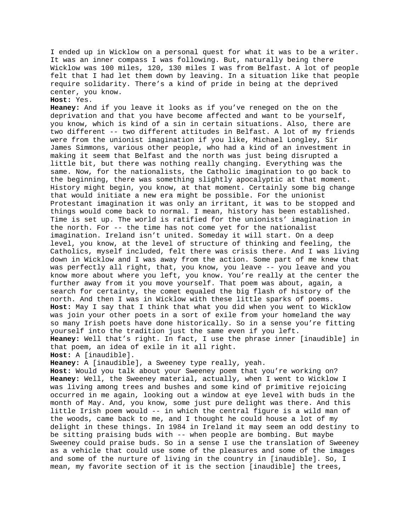I ended up in Wicklow on a personal quest for what it was to be a writer. It was an inner compass I was following. But, naturally being there Wicklow was 100 miles, 120, 130 miles I was from Belfast. A lot of people felt that I had let them down by leaving. In a situation like that people require solidarity. There's a kind of pride in being at the deprived center, you know.

## **Host:** Yes.

**Heaney:** And if you leave it looks as if you've reneged on the on the deprivation and that you have become affected and want to be yourself, you know, which is kind of a sin in certain situations. Also, there are two different -- two different attitudes in Belfast. A lot of my friends were from the unionist imagination if you like, Michael Longley, Sir James Simmons, various other people, who had a kind of an investment in making it seem that Belfast and the north was just being disrupted a little bit, but there was nothing really changing. Everything was the same. Now, for the nationalists, the Catholic imagination to go back to the beginning, there was something slightly apocalyptic at that moment. History might begin, you know, at that moment. Certainly some big change that would initiate a new era might be possible. For the unionist Protestant imagination it was only an irritant, it was to be stopped and things would come back to normal. I mean, history has been established. Time is set up. The world is ratified for the unionists' imagination in the north. For -- the time has not come yet for the nationalist imagination. Ireland isn't united. Someday it will start. On a deep level, you know, at the level of structure of thinking and feeling, the Catholics, myself included, felt there was crisis there. And I was living down in Wicklow and I was away from the action. Some part of me knew that was perfectly all right, that, you know, you leave -- you leave and you know more about where you left, you know. You're really at the center the further away from it you move yourself. That poem was about, again, a search for certainty, the comet equaled the big flash of history of the north. And then I was in Wicklow with these little sparks of poems. **Host:** May I say that I think that what you did when you went to Wicklow was join your other poets in a sort of exile from your homeland the way so many Irish poets have done historically. So in a sense you're fitting yourself into the tradition just the same even if you left. **Heaney:** Well that's right. In fact, I use the phrase inner [inaudible] in that poem, an idea of exile in it all right.

**Host:** A [inaudible].

**Heaney:** A [inaudible], a Sweeney type really, yeah.

**Host:** Would you talk about your Sweeney poem that you're working on? **Heaney:** Well, the Sweeney material, actually, when I went to Wicklow I was living among trees and bushes and some kind of primitive rejoicing occurred in me again, looking out a window at eye level with buds in the month of May. And, you know, some just pure delight was there. And this little Irish poem would -- in which the central figure is a wild man of the woods, came back to me, and I thought he could house a lot of my delight in these things. In 1984 in Ireland it may seem an odd destiny to be sitting praising buds with -- when people are bombing. But maybe Sweeney could praise buds. So in a sense I use the translation of Sweeney as a vehicle that could use some of the pleasures and some of the images and some of the nurture of living in the country in [inaudible]. So, I mean, my favorite section of it is the section [inaudible] the trees,